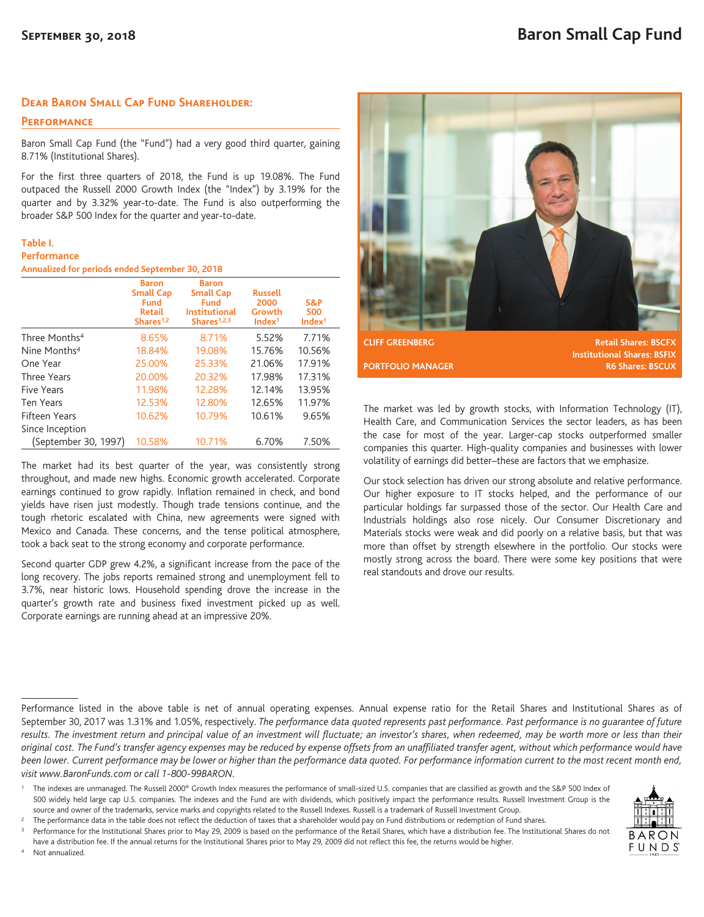## **Dear Baron Small Cap Fund Shareholder:**

**Performance**

Baron Small Cap Fund (the "Fund") had a very good third quarter, gaining 8.71% (Institutional Shares).

For the first three quarters of 2018, the Fund is up 19.08%. The Fund outpaced the Russell 2000 Growth Index (the "Index") by 3.19% for the quarter and by 3.32% year-to-date. The Fund is also outperforming the broader S&P 500 Index for the quarter and year-to-date.

## **Table I.**

## **Performance**

**Annualized for periods ended September 30, 2018**

|                           | <b>Baron</b><br><b>Small Cap</b><br><b>Fund</b><br><b>Retail</b><br>Shares <sup>1,2</sup> | <b>Baron</b><br><b>Small Cap</b><br>Fund<br><b>Institutional</b><br>Shares <sup>1,2,3</sup> | <b>Russell</b><br>2000<br>Growth<br>Index <sup>1</sup> | S&P<br>500<br>Index <sup>1</sup> |
|---------------------------|-------------------------------------------------------------------------------------------|---------------------------------------------------------------------------------------------|--------------------------------------------------------|----------------------------------|
| Three Months <sup>4</sup> | 8.65%                                                                                     | 8.71%                                                                                       | 5.52%                                                  | 7.71%                            |
| Nine Months <sup>4</sup>  | 18.84%                                                                                    | 19.08%                                                                                      | 15.76%                                                 | 10.56%                           |
| One Year                  | 25.00%                                                                                    | 25.33%                                                                                      | 21.06%                                                 | 17.91%                           |
| Three Years               | 20.00%                                                                                    | 20.32%                                                                                      | 17.98%                                                 | 17.31%                           |
| Five Years                | 11.98%                                                                                    | 12.28%                                                                                      | 12.14%                                                 | 13.95%                           |
| Ten Years                 | 12.53%                                                                                    | 12.80%                                                                                      | 12.65%                                                 | 11.97%                           |
| <b>Fifteen Years</b>      | 10.62%                                                                                    | 10.79%                                                                                      | 10.61%                                                 | 9.65%                            |
| Since Inception           |                                                                                           |                                                                                             |                                                        |                                  |
| (September 30, 1997)      | 10.58%                                                                                    | 10.71%                                                                                      | 6.70%                                                  | 7.50%                            |

The market had its best quarter of the year, was consistently strong throughout, and made new highs. Economic growth accelerated. Corporate earnings continued to grow rapidly. Inflation remained in check, and bond yields have risen just modestly. Though trade tensions continue, and the tough rhetoric escalated with China, new agreements were signed with Mexico and Canada. These concerns, and the tense political atmosphere, took a back seat to the strong economy and corporate performance.

Second quarter GDP grew 4.2%, a significant increase from the pace of the long recovery. The jobs reports remained strong and unemployment fell to 3.7%, near historic lows. Household spending drove the increase in the quarter's growth rate and business fixed investment picked up as well. Corporate earnings are running ahead at an impressive 20%.



**Institutional Shares: BSFIX PORTFOLIO MANAGER R6 Shares: BSCUX** 

The market was led by growth stocks, with Information Technology (IT), Health Care, and Communication Services the sector leaders, as has been the case for most of the year. Larger-cap stocks outperformed smaller companies this quarter. High-quality companies and businesses with lower volatility of earnings did better–these are factors that we emphasize.

Our stock selection has driven our strong absolute and relative performance. Our higher exposure to IT stocks helped, and the performance of our particular holdings far surpassed those of the sector. Our Health Care and Industrials holdings also rose nicely. Our Consumer Discretionary and Materials stocks were weak and did poorly on a relative basis, but that was more than offset by strength elsewhere in the portfolio. Our stocks were mostly strong across the board. There were some key positions that were real standouts and drove our results.

have a distribution fee. If the annual returns for the Institutional Shares prior to May 29, 2009 did not reflect this fee, the returns would be higher. Not annualized.



Performance listed in the above table is net of annual operating expenses. Annual expense ratio for the Retail Shares and Institutional Shares as of September 30, 2017 was 1.31% and 1.05%, respectively. *The performance data quoted represents past performance. Past performance is no guarantee of future results. The investment return and principal value of an investment will fluctuate; an investor's shares, when redeemed, may be worth more or less than their original cost. The Fund's transfer agency expenses may be reduced by expense offsets from an unaffiliated transfer agent, without which performance would have* been lower. Current performance may be lower or higher than the performance data quoted. For performance information current to the most recent month end, *visit www.BaronFunds.com or call 1-800-99BARON.*

<sup>1</sup> The indexes are unmanaged. The Russell 2000<sup>®</sup> Growth Index measures the performance of small-sized U.S. companies that are classified as growth and the S&P 500 Index of 500 widely held large cap U.S. companies. The indexes and the Fund are with dividends, which positively impact the performance results. Russell Investment Group is the source and owner of the trademarks, service marks and copyrights related to the Russell Indexes. Russell is a trademark of Russell Investment Group.

<sup>&</sup>lt;sup>2</sup> The performance data in the table does not reflect the deduction of taxes that a shareholder would pay on Fund distributions or redemption of Fund shares.

Performance for the Institutional Shares prior to May 29, 2009 is based on the performance of the Retail Shares, which have a distribution fee. The Institutional Shares do not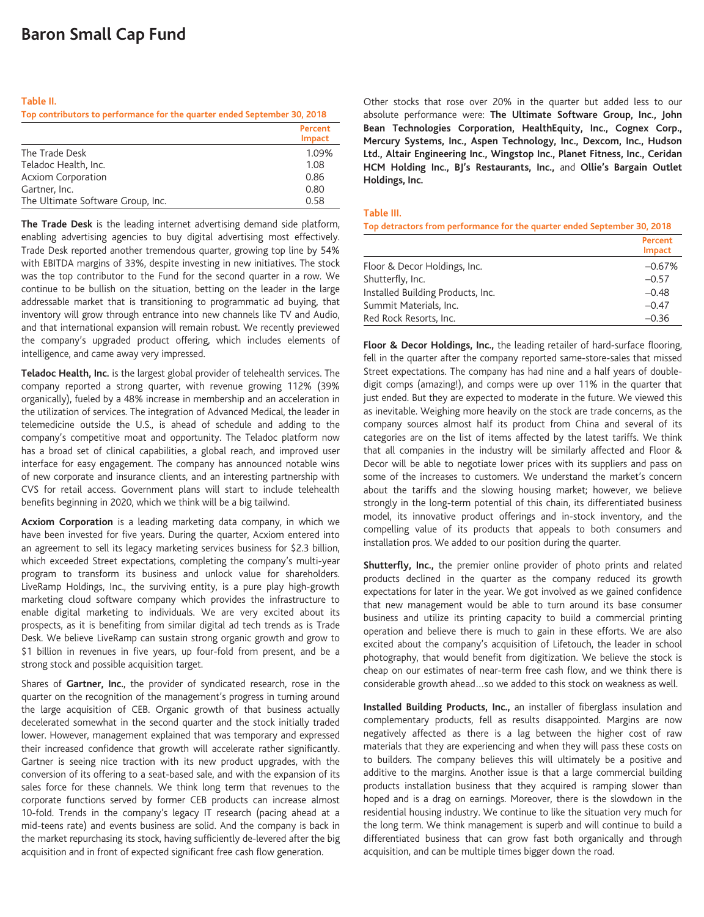#### **Table II.**

**Top contributors to performance for the quarter ended September 30, 2018**

|                                   | Percent<br><b>Impact</b> |
|-----------------------------------|--------------------------|
| The Trade Desk                    | 1.09%                    |
| Teladoc Health, Inc.              | 1.08                     |
| <b>Acxiom Corporation</b>         | 0.86                     |
| Gartner, Inc.                     | 0.80                     |
| The Ultimate Software Group, Inc. | 0.58                     |

**The Trade Desk** is the leading internet advertising demand side platform, enabling advertising agencies to buy digital advertising most effectively. Trade Desk reported another tremendous quarter, growing top line by 54% with EBITDA margins of 33%, despite investing in new initiatives. The stock was the top contributor to the Fund for the second quarter in a row. We continue to be bullish on the situation, betting on the leader in the large addressable market that is transitioning to programmatic ad buying, that inventory will grow through entrance into new channels like TV and Audio, and that international expansion will remain robust. We recently previewed the company's upgraded product offering, which includes elements of intelligence, and came away very impressed.

**Teladoc Health, Inc.** is the largest global provider of telehealth services. The company reported a strong quarter, with revenue growing 112% (39% organically), fueled by a 48% increase in membership and an acceleration in the utilization of services. The integration of Advanced Medical, the leader in telemedicine outside the U.S., is ahead of schedule and adding to the company's competitive moat and opportunity. The Teladoc platform now has a broad set of clinical capabilities, a global reach, and improved user interface for easy engagement. The company has announced notable wins of new corporate and insurance clients, and an interesting partnership with CVS for retail access. Government plans will start to include telehealth benefits beginning in 2020, which we think will be a big tailwind.

**Acxiom Corporation** is a leading marketing data company, in which we have been invested for five years. During the quarter, Acxiom entered into an agreement to sell its legacy marketing services business for \$2.3 billion, which exceeded Street expectations, completing the company's multi-year program to transform its business and unlock value for shareholders. LiveRamp Holdings, Inc., the surviving entity, is a pure play high-growth marketing cloud software company which provides the infrastructure to enable digital marketing to individuals. We are very excited about its prospects, as it is benefiting from similar digital ad tech trends as is Trade Desk. We believe LiveRamp can sustain strong organic growth and grow to \$1 billion in revenues in five years, up four-fold from present, and be a strong stock and possible acquisition target.

Shares of **Gartner, Inc.**, the provider of syndicated research, rose in the quarter on the recognition of the management's progress in turning around the large acquisition of CEB. Organic growth of that business actually decelerated somewhat in the second quarter and the stock initially traded lower. However, management explained that was temporary and expressed their increased confidence that growth will accelerate rather significantly. Gartner is seeing nice traction with its new product upgrades, with the conversion of its offering to a seat-based sale, and with the expansion of its sales force for these channels. We think long term that revenues to the corporate functions served by former CEB products can increase almost 10-fold. Trends in the company's legacy IT research (pacing ahead at a mid-teens rate) and events business are solid. And the company is back in the market repurchasing its stock, having sufficiently de-levered after the big acquisition and in front of expected significant free cash flow generation.

Other stocks that rose over 20% in the quarter but added less to our absolute performance were: **The Ultimate Software Group, Inc., John Bean Technologies Corporation, HealthEquity, Inc., Cognex Corp., Mercury Systems, Inc., Aspen Technology, Inc., Dexcom, Inc., Hudson Ltd., Altair Engineering Inc., Wingstop Inc., Planet Fitness, Inc., Ceridan HCM Holding Inc., BJ's Restaurants, Inc.,** and **Ollie's Bargain Outlet Holdings, Inc.**

#### **Table III.**

**Top detractors from performance for the quarter ended September 30, 2018**

|                                   | Percent<br>Impact |
|-----------------------------------|-------------------|
| Floor & Decor Holdings, Inc.      | $-0.67%$          |
| Shutterfly, Inc.                  | $-0.57$           |
| Installed Building Products, Inc. | $-0.48$           |
| Summit Materials, Inc.            | $-0.47$           |
| Red Rock Resorts, Inc.            | $-0.36$           |

**Floor & Decor Holdings, Inc.,** the leading retailer of hard-surface flooring, fell in the quarter after the company reported same-store-sales that missed Street expectations. The company has had nine and a half years of doubledigit comps (amazing!), and comps were up over 11% in the quarter that just ended. But they are expected to moderate in the future. We viewed this as inevitable. Weighing more heavily on the stock are trade concerns, as the company sources almost half its product from China and several of its categories are on the list of items affected by the latest tariffs. We think that all companies in the industry will be similarly affected and Floor & Decor will be able to negotiate lower prices with its suppliers and pass on some of the increases to customers. We understand the market's concern about the tariffs and the slowing housing market; however, we believe strongly in the long-term potential of this chain, its differentiated business model, its innovative product offerings and in-stock inventory, and the compelling value of its products that appeals to both consumers and installation pros. We added to our position during the quarter.

**Shutterfly, Inc.,** the premier online provider of photo prints and related products declined in the quarter as the company reduced its growth expectations for later in the year. We got involved as we gained confidence that new management would be able to turn around its base consumer business and utilize its printing capacity to build a commercial printing operation and believe there is much to gain in these efforts. We are also excited about the company's acquisition of Lifetouch, the leader in school photography, that would benefit from digitization. We believe the stock is cheap on our estimates of near-term free cash flow, and we think there is considerable growth ahead…so we added to this stock on weakness as well.

**Installed Building Products, Inc.,** an installer of fiberglass insulation and complementary products, fell as results disappointed. Margins are now negatively affected as there is a lag between the higher cost of raw materials that they are experiencing and when they will pass these costs on to builders. The company believes this will ultimately be a positive and additive to the margins. Another issue is that a large commercial building products installation business that they acquired is ramping slower than hoped and is a drag on earnings. Moreover, there is the slowdown in the residential housing industry. We continue to like the situation very much for the long term. We think management is superb and will continue to build a differentiated business that can grow fast both organically and through acquisition, and can be multiple times bigger down the road.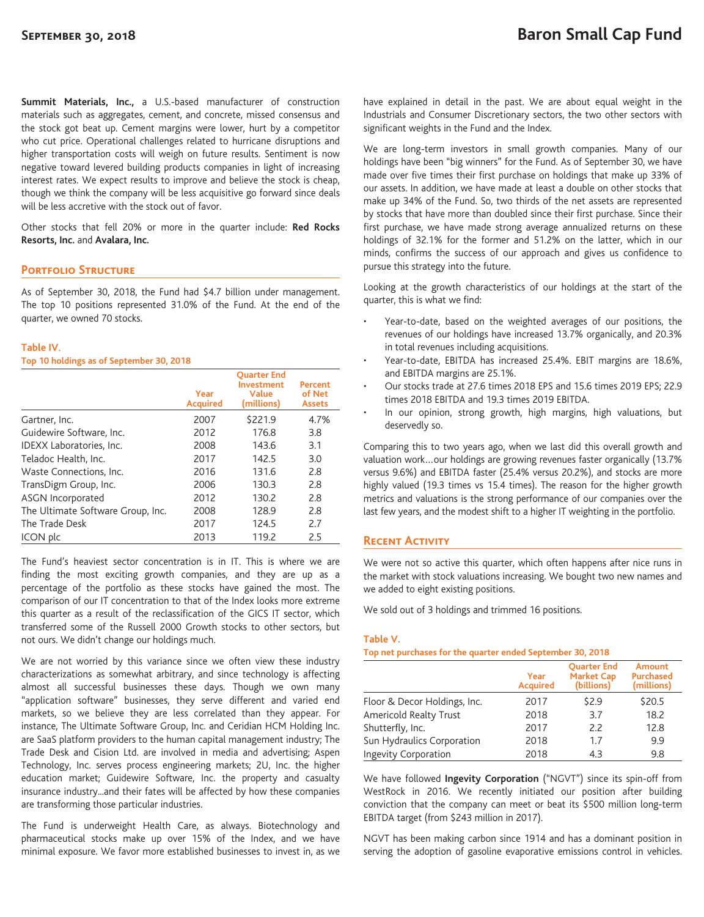**Summit Materials, Inc.,** a U.S.-based manufacturer of construction materials such as aggregates, cement, and concrete, missed consensus and the stock got beat up. Cement margins were lower, hurt by a competitor who cut price. Operational challenges related to hurricane disruptions and higher transportation costs will weigh on future results. Sentiment is now negative toward levered building products companies in light of increasing interest rates. We expect results to improve and believe the stock is cheap, though we think the company will be less acquisitive go forward since deals will be less accretive with the stock out of favor.

Other stocks that fell 20% or more in the quarter include: **Red Rocks Resorts, Inc.** and **Avalara, Inc.**

# **Portfolio Structure**

As of September 30, 2018, the Fund had \$4.7 billion under management. The top 10 positions represented 31.0% of the Fund. At the end of the quarter, we owned 70 stocks.

#### **Table IV.**

**Top 10 holdings as of September 30, 2018**

|                                   | Year<br><b>Acquired</b> | <b>Ouarter End</b><br>Investment<br>Value<br>(millions) | Percent<br>of Net<br><b>Assets</b> |
|-----------------------------------|-------------------------|---------------------------------------------------------|------------------------------------|
| Gartner, Inc.                     | 2007                    | \$221.9                                                 | 4.7%                               |
| Guidewire Software, Inc.          | 2012                    | 176.8                                                   | 3.8                                |
| IDEXX Laboratories, Inc.          | 2008                    | 143.6                                                   | 3.1                                |
| Teladoc Health, Inc.              | 2017                    | 142.5                                                   | 3.0                                |
| Waste Connections, Inc.           | 2016                    | 131.6                                                   | 2.8                                |
| TransDigm Group, Inc.             | 2006                    | 130.3                                                   | 2.8                                |
| <b>ASGN Incorporated</b>          | 2012                    | 130.2                                                   | 2.8                                |
| The Ultimate Software Group, Inc. | 2008                    | 128.9                                                   | 2.8                                |
| The Trade Desk                    | 2017                    | 124.5                                                   | 2.7                                |
| ICON plc                          | 2013                    | 119.2                                                   | 2.5                                |

The Fund's heaviest sector concentration is in IT. This is where we are finding the most exciting growth companies, and they are up as a percentage of the portfolio as these stocks have gained the most. The comparison of our IT concentration to that of the Index looks more extreme this quarter as a result of the reclassification of the GICS IT sector, which transferred some of the Russell 2000 Growth stocks to other sectors, but not ours. We didn't change our holdings much.

We are not worried by this variance since we often view these industry characterizations as somewhat arbitrary, and since technology is affecting almost all successful businesses these days. Though we own many "application software" businesses, they serve different and varied end markets, so we believe they are less correlated than they appear. For instance, The Ultimate Software Group, Inc. and Ceridian HCM Holding Inc. are SaaS platform providers to the human capital management industry; The Trade Desk and Cision Ltd. are involved in media and advertising; Aspen Technology, Inc. serves process engineering markets; 2U, Inc. the higher education market; Guidewire Software, Inc. the property and casualty insurance industry...and their fates will be affected by how these companies are transforming those particular industries.

The Fund is underweight Health Care, as always. Biotechnology and pharmaceutical stocks make up over 15% of the Index, and we have minimal exposure. We favor more established businesses to invest in, as we

have explained in detail in the past. We are about equal weight in the Industrials and Consumer Discretionary sectors, the two other sectors with significant weights in the Fund and the Index.

We are long-term investors in small growth companies. Many of our holdings have been "big winners" for the Fund. As of September 30, we have made over five times their first purchase on holdings that make up 33% of our assets. In addition, we have made at least a double on other stocks that make up 34% of the Fund. So, two thirds of the net assets are represented by stocks that have more than doubled since their first purchase. Since their first purchase, we have made strong average annualized returns on these holdings of 32.1% for the former and 51.2% on the latter, which in our minds, confirms the success of our approach and gives us confidence to pursue this strategy into the future.

Looking at the growth characteristics of our holdings at the start of the quarter, this is what we find:

- Year-to-date, based on the weighted averages of our positions, the revenues of our holdings have increased 13.7% organically, and 20.3% in total revenues including acquisitions.
- Year-to-date, EBITDA has increased 25.4%. EBIT margins are 18.6%, and EBITDA margins are 25.1%.
- Our stocks trade at 27.6 times 2018 EPS and 15.6 times 2019 EPS; 22.9 times 2018 EBITDA and 19.3 times 2019 EBITDA.
- In our opinion, strong growth, high margins, high valuations, but deservedly so.

Comparing this to two years ago, when we last did this overall growth and valuation work…our holdings are growing revenues faster organically (13.7% versus 9.6%) and EBITDA faster (25.4% versus 20.2%), and stocks are more highly valued (19.3 times vs 15.4 times). The reason for the higher growth metrics and valuations is the strong performance of our companies over the last few years, and the modest shift to a higher IT weighting in the portfolio.

# **Recent Activity**

We were not so active this quarter, which often happens after nice runs in the market with stock valuations increasing. We bought two new names and we added to eight existing positions.

We sold out of 3 holdings and trimmed 16 positions.

### **Table V.**

**Top net purchases for the quarter ended September 30, 2018**

|                              | Year<br><b>Acquired</b> | <b>Ouarter End</b><br><b>Market Cap</b><br>(billions) | <b>Amount</b><br><b>Purchased</b><br>(millions) |
|------------------------------|-------------------------|-------------------------------------------------------|-------------------------------------------------|
| Floor & Decor Holdings, Inc. | 2017                    | \$2.9                                                 | \$20.5                                          |
| Americold Realty Trust       | 2018                    | 3.7                                                   | 18.2                                            |
| Shutterfly, Inc.             | 2017                    | 2.2                                                   | 12.8                                            |
| Sun Hydraulics Corporation   | 2018                    | 1.7                                                   | 9.9                                             |
| Ingevity Corporation         | 2018                    | 4.3                                                   | 9.8                                             |

We have followed **Ingevity Corporation** ("NGVT") since its spin-off from WestRock in 2016. We recently initiated our position after building conviction that the company can meet or beat its \$500 million long-term EBITDA target (from \$243 million in 2017).

NGVT has been making carbon since 1914 and has a dominant position in serving the adoption of gasoline evaporative emissions control in vehicles.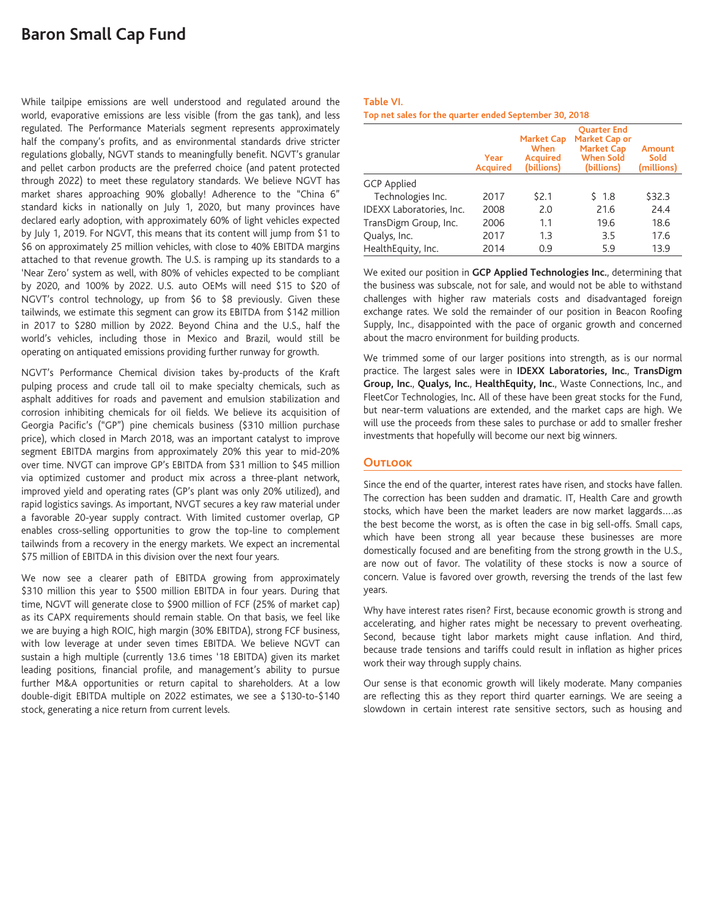# **Baron Small Cap Fund**

While tailpipe emissions are well understood and regulated around the world, evaporative emissions are less visible (from the gas tank), and less regulated. The Performance Materials segment represents approximately half the company's profits, and as environmental standards drive stricter regulations globally, NGVT stands to meaningfully benefit. NGVT's granular and pellet carbon products are the preferred choice (and patent protected through 2022) to meet these regulatory standards. We believe NGVT has market shares approaching 90% globally! Adherence to the "China 6" standard kicks in nationally on July 1, 2020, but many provinces have declared early adoption, with approximately 60% of light vehicles expected by July 1, 2019. For NGVT, this means that its content will jump from \$1 to \$6 on approximately 25 million vehicles, with close to 40% EBITDA margins attached to that revenue growth. The U.S. is ramping up its standards to a 'Near Zero' system as well, with 80% of vehicles expected to be compliant by 2020, and 100% by 2022. U.S. auto OEMs will need \$15 to \$20 of NGVT's control technology, up from \$6 to \$8 previously. Given these tailwinds, we estimate this segment can grow its EBITDA from \$142 million in 2017 to \$280 million by 2022. Beyond China and the U.S., half the world's vehicles, including those in Mexico and Brazil, would still be operating on antiquated emissions providing further runway for growth.

NGVT's Performance Chemical division takes by-products of the Kraft pulping process and crude tall oil to make specialty chemicals, such as asphalt additives for roads and pavement and emulsion stabilization and corrosion inhibiting chemicals for oil fields. We believe its acquisition of Georgia Pacific's ("GP") pine chemicals business (\$310 million purchase price), which closed in March 2018, was an important catalyst to improve segment EBITDA margins from approximately 20% this year to mid-20% over time. NVGT can improve GP's EBITDA from \$31 million to \$45 million via optimized customer and product mix across a three-plant network, improved yield and operating rates (GP's plant was only 20% utilized), and rapid logistics savings. As important, NVGT secures a key raw material under a favorable 20-year supply contract. With limited customer overlap, GP enables cross-selling opportunities to grow the top-line to complement tailwinds from a recovery in the energy markets. We expect an incremental \$75 million of EBITDA in this division over the next four years.

We now see a clearer path of EBITDA growing from approximately \$310 million this year to \$500 million EBITDA in four years. During that time, NGVT will generate close to \$900 million of FCF (25% of market cap) as its CAPX requirements should remain stable. On that basis, we feel like we are buying a high ROIC, high margin (30% EBITDA), strong FCF business, with low leverage at under seven times EBITDA. We believe NGVT can sustain a high multiple (currently 13.6 times '18 EBITDA) given its market leading positions, financial profile, and management's ability to pursue further M&A opportunities or return capital to shareholders. At a low double-digit EBITDA multiple on 2022 estimates, we see a \$130-to-\$140 stock, generating a nice return from current levels.

#### **Table VI. Top net sales for the quarter ended September 30, 2018**

|                          | Year<br><b>Acquired</b> | <b>Market Cap</b><br>When<br><b>Acquired</b><br>(billions) | <b>Ouarter End</b><br>Market Cap or<br><b>Market Cap</b><br><b>When Sold</b><br>(billions) | Amount<br>Sold<br>(millions) |
|--------------------------|-------------------------|------------------------------------------------------------|--------------------------------------------------------------------------------------------|------------------------------|
| <b>GCP</b> Applied       |                         |                                                            |                                                                                            |                              |
| Technologies Inc.        | 2017                    | \$2.1                                                      | \$1.8                                                                                      | \$32.3                       |
| IDEXX Laboratories, Inc. | 2008                    | 2.0                                                        | 21.6                                                                                       | 24.4                         |
| TransDigm Group, Inc.    | 2006                    | 1.1                                                        | 19.6                                                                                       | 18.6                         |
| Qualys, Inc.             | 2017                    | 1.3                                                        | 3.5                                                                                        | 17.6                         |
| HealthEquity, Inc.       | 2014                    | 0.9                                                        | 5.9                                                                                        | 13.9                         |

We exited our position in **GCP Applied Technologies Inc.**, determining that the business was subscale, not for sale, and would not be able to withstand challenges with higher raw materials costs and disadvantaged foreign exchange rates. We sold the remainder of our position in Beacon Roofing Supply, Inc., disappointed with the pace of organic growth and concerned about the macro environment for building products.

We trimmed some of our larger positions into strength, as is our normal practice. The largest sales were in **IDEXX Laboratories, Inc.**, **TransDigm Group, Inc.**, **Qualys, Inc.**, **HealthEquity, Inc.**, Waste Connections, Inc., and FleetCor Technologies, Inc**.** All of these have been great stocks for the Fund, but near-term valuations are extended, and the market caps are high. We will use the proceeds from these sales to purchase or add to smaller fresher investments that hopefully will become our next big winners.

# **Outlook**

Since the end of the quarter, interest rates have risen, and stocks have fallen. The correction has been sudden and dramatic. IT, Health Care and growth stocks, which have been the market leaders are now market laggards….as the best become the worst, as is often the case in big sell-offs. Small caps, which have been strong all year because these businesses are more domestically focused and are benefiting from the strong growth in the U.S., are now out of favor. The volatility of these stocks is now a source of concern. Value is favored over growth, reversing the trends of the last few years.

Why have interest rates risen? First, because economic growth is strong and accelerating, and higher rates might be necessary to prevent overheating. Second, because tight labor markets might cause inflation. And third, because trade tensions and tariffs could result in inflation as higher prices work their way through supply chains.

Our sense is that economic growth will likely moderate. Many companies are reflecting this as they report third quarter earnings. We are seeing a slowdown in certain interest rate sensitive sectors, such as housing and